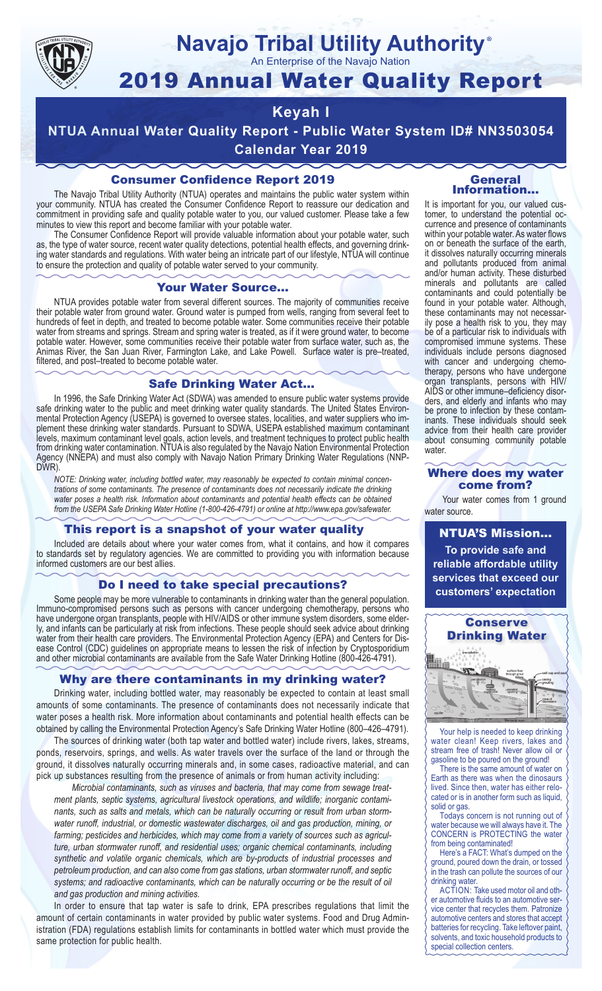

# **Navajo Tribal Utility Authority**

An Enterprise of the Navajo Nation

## 2019 Annual Water Quality Report

## **Keyah I**

**NTUA Annual Water Quality Report - Public Water System ID# NN3503054 Calendar Year 2019**

## Consumer Confidence Report 2019

The Navajo Tribal Utility Authority (NTUA) operates and maintains the public water system within your community. NTUA has created the Consumer Confidence Report to reassure our dedication and commitment in providing safe and quality potable water to you, our valued customer. Please take a few minutes to view this report and become familiar with your potable water.

The Consumer Confidence Report will provide valuable information about your potable water, such as, the type of water source, recent water quality detections, potential health effects, and governing drinking water standards and regulations. With water being an intricate part of our lifestyle, NTUA will continue to ensure the protection and quality of potable water served to your community.

#### Your Water Source…

NTUA provides potable water from several different sources. The majority of communities receive their potable water from ground water. Ground water is pumped from wells, ranging from several feet to hundreds of feet in depth, and treated to become potable water. Some communities receive their potable water from streams and springs. Stream and spring water is treated, as if it were ground water, to become potable water. However, some communities receive their potable water from surface water, such as, the Animas River, the San Juan River, Farmington Lake, and Lake Powell. Surface water is pre–treated, filtered, and post–treated to become potable water.

#### Safe Drinking Water Act…

In 1996, the Safe Drinking Water Act (SDWA) was amended to ensure public water systems provide safe drinking water to the public and meet drinking water quality standards. The United States Environmental Protection Agency (USEPA) is governed to oversee states, localities, and water suppliers who implement these drinking water standards. Pursuant to SDWA, USEPA established maximum contaminant levels, maximum contaminant level goals, action levels, and treatment techniques to protect public health from drinking water contamination. NTUA is also regulated by the Navajo Nation Environmental Protection Agency (NNEPA) and must also comply with Navajo Nation Primary Drinking Water Regulations (NNP-DWR)

*NOTE: Drinking water, including bottled water, may reasonably be expected to contain minimal concentrations of some contaminants. The presence of contaminants does not necessarily indicate the drinking water poses a health risk. Information about contaminants and potential health effects can be obtained from the USEPA Safe Drinking Water Hotline (1-800-426-4791) or online at http://www.epa.gov/safewater.*

### This report is a snapshot of your water quality

Included are details about where your water comes from, what it contains, and how it compares to standards set by regulatory agencies. We are committed to providing you with information because informed customers are our best allies.

#### Do I need to take special precautions?

Some people may be more vulnerable to contaminants in drinking water than the general population. Immuno-compromised persons such as persons with cancer undergoing chemotherapy, persons who have undergone organ transplants, people with HIV/AIDS or other immune system disorders, some elderly, and infants can be particularly at risk from infections. These people should seek advice about drinking water from their health care providers. The Environmental Protection Agency (EPA) and Centers for Disease Control (CDC) guidelines on appropriate means to lessen the risk of infection by Cryptosporidium and other microbial contaminants are available from the Safe Water Drinking Hotline (800-426-4791).

### Why are there contaminants in my drinking water?

Drinking water, including bottled water, may reasonably be expected to contain at least small amounts of some contaminants. The presence of contaminants does not necessarily indicate that water poses a health risk. More information about contaminants and potential health effects can be obtained by calling the Environmental Protection Agency's Safe Drinking Water Hotline (800–426–4791).

The sources of drinking water (both tap water and bottled water) include rivers, lakes, streams, ponds, reservoirs, springs, and wells. As water travels over the surface of the land or through the ground, it dissolves naturally occurring minerals and, in some cases, radioactive material, and can pick up substances resulting from the presence of animals or from human activity including:

*Microbial contaminants, such as viruses and bacteria, that may come from sewage treatment plants, septic systems, agricultural livestock operations, and wildlife; inorganic contaminants, such as salts and metals, which can be naturally occurring or result from urban stormwater runoff, industrial, or domestic wastewater discharges, oil and gas production, mining, or farming; pesticides and herbicides, which may come from a variety of sources such as agriculture, urban stormwater runoff, and residential uses; organic chemical contaminants, including synthetic and volatile organic chemicals, which are by-products of industrial processes and petroleum production, and can also come from gas stations, urban stormwater runoff, and septic systems; and radioactive contaminants, which can be naturally occurring or be the result of oil and gas production and mining activities.*

In order to ensure that tap water is safe to drink, EPA prescribes regulations that limit the amount of certain contaminants in water provided by public water systems. Food and Drug Administration (FDA) regulations establish limits for contaminants in bottled water which must provide the same protection for public health.

#### General Information…

®

It is important for you, our valued customer, to understand the potential occurrence and presence of contaminants within your potable water. As water flows on or beneath the surface of the earth, it dissolves naturally occurring minerals and pollutants produced from animal and/or human activity. These disturbed minerals and pollutants are called contaminants and could potentially be found in your potable water. Although, these contaminants may not necessarily pose a health risk to you, they may be of a particular risk to individuals with compromised immune systems. These individuals include persons diagnosed with cancer and undergoing chemo-<br>therapy, persons who have undergone organ transplants, persons with HIV/ AIDS or other immune–deficiency disor- ders, and elderly and infants who may be prone to infection by these contam- inants. These individuals should seek advice from their health care provider about consuming community potable water.

#### Where does my water come from?

Your water comes from 1 ground water source.

NTUA'S Mission... **To provide safe and reliable affordable utility services that exceed our customers' expectation**



Your help is needed to keep drinking water clean! Keep rivers, lakes and stream free of trash! Never allow oil or gasoline to be poured on the ground!

There is the same amount of water on Earth as there was when the dinosaurs lived. Since then, water has either relocated or is in another form such as liquid, solid or gas.

Todays concern is not running out of water because we will always have it. The CONCERN is PROTECTING the water from being contaminated!

Here's a FACT: What's dumped on the ground, poured down the drain, or tossed in the trash can pollute the sources of our drinking water.

ACTION: Take used motor oil and other automotive fluids to an automotive service center that recycles them. Patronize automotive centers and stores that accept batteries for recycling. Take leftover paint, solvents, and toxic household products to special collection centers.